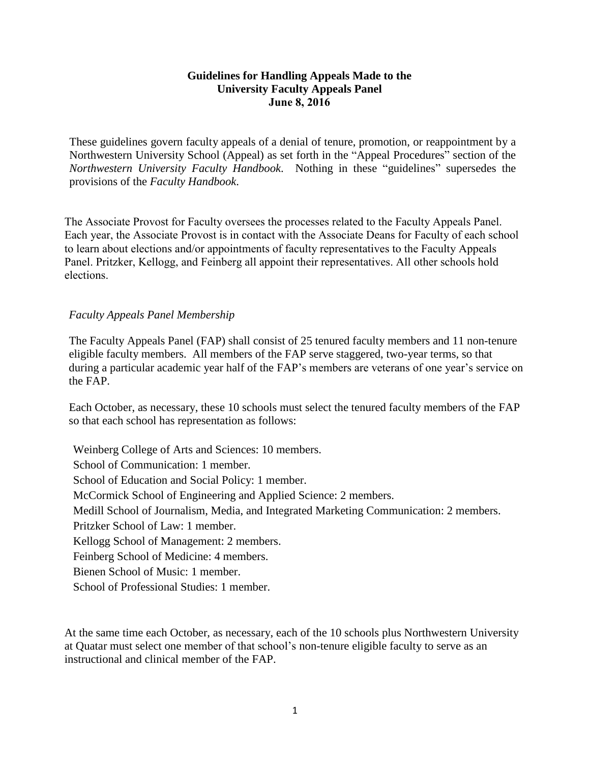## **Guidelines for Handling Appeals Made to the University Faculty Appeals Panel June 8, 2016**

These guidelines govern faculty appeals of a denial of tenure, promotion, or reappointment by a Northwestern University School (Appeal) as set forth in the "Appeal Procedures" section of the *Northwestern University Faculty Handbook*. Nothing in these "guidelines" supersedes the provisions of the *Faculty Handbook*.

The Associate Provost for Faculty oversees the processes related to the Faculty Appeals Panel. Each year, the Associate Provost is in contact with the Associate Deans for Faculty of each school to learn about elections and/or appointments of faculty representatives to the Faculty Appeals Panel. Pritzker, Kellogg, and Feinberg all appoint their representatives. All other schools hold elections.

## *Faculty Appeals Panel Membership*

The Faculty Appeals Panel (FAP) shall consist of 25 tenured faculty members and 11 non-tenure eligible faculty members. All members of the FAP serve staggered, two-year terms, so that during a particular academic year half of the FAP's members are veterans of one year's service on the FAP.

Each October, as necessary, these 10 schools must select the tenured faculty members of the FAP so that each school has representation as follows:

Weinberg College of Arts and Sciences: 10 members. School of Communication: 1 member. School of Education and Social Policy: 1 member. McCormick School of Engineering and Applied Science: 2 members. Medill School of Journalism, Media, and Integrated Marketing Communication: 2 members. Pritzker School of Law: 1 member. Kellogg School of Management: 2 members. Feinberg School of Medicine: 4 members. Bienen School of Music: 1 member. School of Professional Studies: 1 member.

At the same time each October, as necessary, each of the 10 schools plus Northwestern University at Quatar must select one member of that school's non-tenure eligible faculty to serve as an instructional and clinical member of the FAP.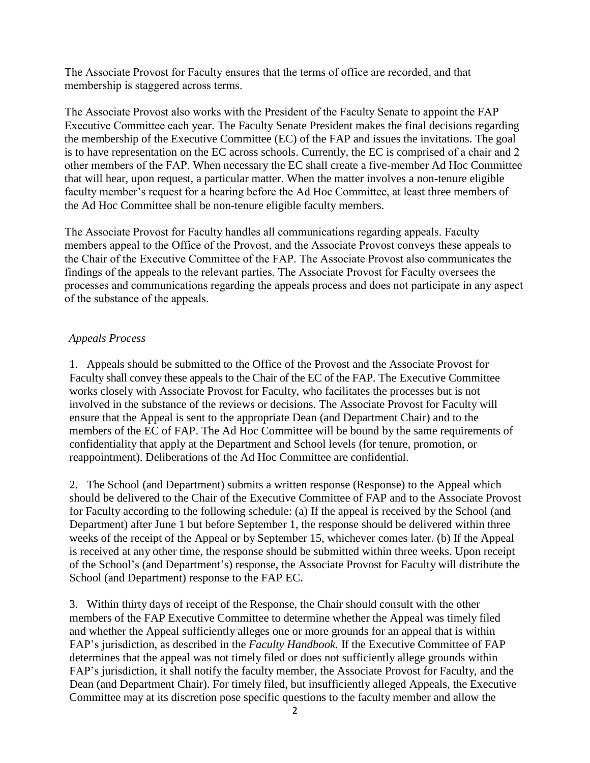The Associate Provost for Faculty ensures that the terms of office are recorded, and that membership is staggered across terms.

The Associate Provost also works with the President of the Faculty Senate to appoint the FAP Executive Committee each year. The Faculty Senate President makes the final decisions regarding the membership of the Executive Committee (EC) of the FAP and issues the invitations. The goal is to have representation on the EC across schools. Currently, the EC is comprised of a chair and 2 other members of the FAP. When necessary the EC shall create a five-member Ad Hoc Committee that will hear, upon request, a particular matter. When the matter involves a non-tenure eligible faculty member's request for a hearing before the Ad Hoc Committee, at least three members of the Ad Hoc Committee shall be non-tenure eligible faculty members.

The Associate Provost for Faculty handles all communications regarding appeals. Faculty members appeal to the Office of the Provost, and the Associate Provost conveys these appeals to the Chair of the Executive Committee of the FAP. The Associate Provost also communicates the findings of the appeals to the relevant parties. The Associate Provost for Faculty oversees the processes and communications regarding the appeals process and does not participate in any aspect of the substance of the appeals.

## *Appeals Process*

1. Appeals should be submitted to the Office of the Provost and the Associate Provost for Faculty shall convey these appeals to the Chair of the EC of the FAP. The Executive Committee works closely with Associate Provost for Faculty, who facilitates the processes but is not involved in the substance of the reviews or decisions. The Associate Provost for Faculty will ensure that the Appeal is sent to the appropriate Dean (and Department Chair) and to the members of the EC of FAP. The Ad Hoc Committee will be bound by the same requirements of confidentiality that apply at the Department and School levels (for tenure, promotion, or reappointment). Deliberations of the Ad Hoc Committee are confidential.

2. The School (and Department) submits a written response (Response) to the Appeal which should be delivered to the Chair of the Executive Committee of FAP and to the Associate Provost for Faculty according to the following schedule: (a) If the appeal is received by the School (and Department) after June 1 but before September 1, the response should be delivered within three weeks of the receipt of the Appeal or by September 15, whichever comes later. (b) If the Appeal is received at any other time, the response should be submitted within three weeks. Upon receipt of the School's (and Department's) response, the Associate Provost for Faculty will distribute the School (and Department) response to the FAP EC.

3. Within thirty days of receipt of the Response, the Chair should consult with the other members of the FAP Executive Committee to determine whether the Appeal was timely filed and whether the Appeal sufficiently alleges one or more grounds for an appeal that is within FAP's jurisdiction, as described in the *Faculty Handbook*. If the Executive Committee of FAP determines that the appeal was not timely filed or does not sufficiently allege grounds within FAP's jurisdiction, it shall notify the faculty member, the Associate Provost for Faculty, and the Dean (and Department Chair). For timely filed, but insufficiently alleged Appeals, the Executive Committee may at its discretion pose specific questions to the faculty member and allow the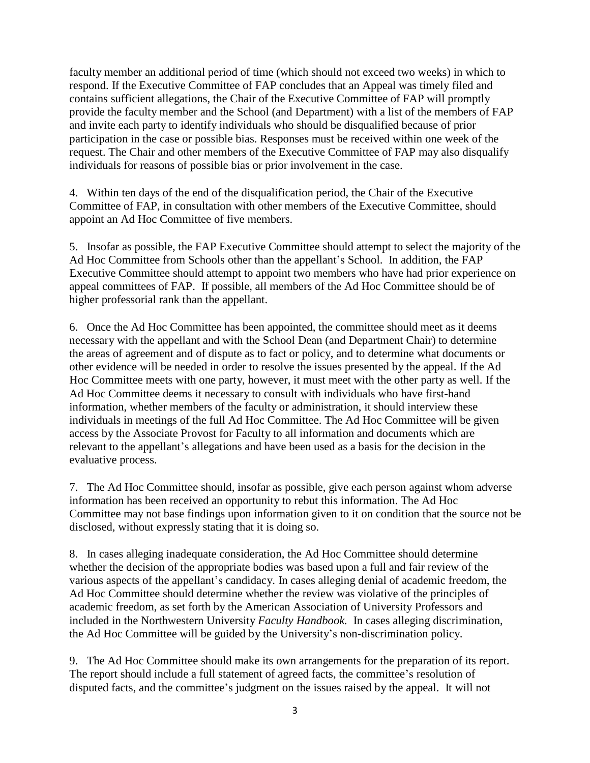faculty member an additional period of time (which should not exceed two weeks) in which to respond. If the Executive Committee of FAP concludes that an Appeal was timely filed and contains sufficient allegations, the Chair of the Executive Committee of FAP will promptly provide the faculty member and the School (and Department) with a list of the members of FAP and invite each party to identify individuals who should be disqualified because of prior participation in the case or possible bias. Responses must be received within one week of the request. The Chair and other members of the Executive Committee of FAP may also disqualify individuals for reasons of possible bias or prior involvement in the case.

4. Within ten days of the end of the disqualification period, the Chair of the Executive Committee of FAP, in consultation with other members of the Executive Committee, should appoint an Ad Hoc Committee of five members.

5. Insofar as possible, the FAP Executive Committee should attempt to select the majority of the Ad Hoc Committee from Schools other than the appellant's School. In addition, the FAP Executive Committee should attempt to appoint two members who have had prior experience on appeal committees of FAP. If possible, all members of the Ad Hoc Committee should be of higher professorial rank than the appellant.

6. Once the Ad Hoc Committee has been appointed, the committee should meet as it deems necessary with the appellant and with the School Dean (and Department Chair) to determine the areas of agreement and of dispute as to fact or policy, and to determine what documents or other evidence will be needed in order to resolve the issues presented by the appeal. If the Ad Hoc Committee meets with one party, however, it must meet with the other party as well. If the Ad Hoc Committee deems it necessary to consult with individuals who have first-hand information, whether members of the faculty or administration, it should interview these individuals in meetings of the full Ad Hoc Committee. The Ad Hoc Committee will be given access by the Associate Provost for Faculty to all information and documents which are relevant to the appellant's allegations and have been used as a basis for the decision in the evaluative process.

7. The Ad Hoc Committee should, insofar as possible, give each person against whom adverse information has been received an opportunity to rebut this information. The Ad Hoc Committee may not base findings upon information given to it on condition that the source not be disclosed, without expressly stating that it is doing so.

8. In cases alleging inadequate consideration, the Ad Hoc Committee should determine whether the decision of the appropriate bodies was based upon a full and fair review of the various aspects of the appellant's candidacy. In cases alleging denial of academic freedom, the Ad Hoc Committee should determine whether the review was violative of the principles of academic freedom, as set forth by the American Association of University Professors and included in the Northwestern University *Faculty Handbook.* In cases alleging discrimination, the Ad Hoc Committee will be guided by the University's non-discrimination policy.

9. The Ad Hoc Committee should make its own arrangements for the preparation of its report. The report should include a full statement of agreed facts, the committee's resolution of disputed facts, and the committee's judgment on the issues raised by the appeal. It will not